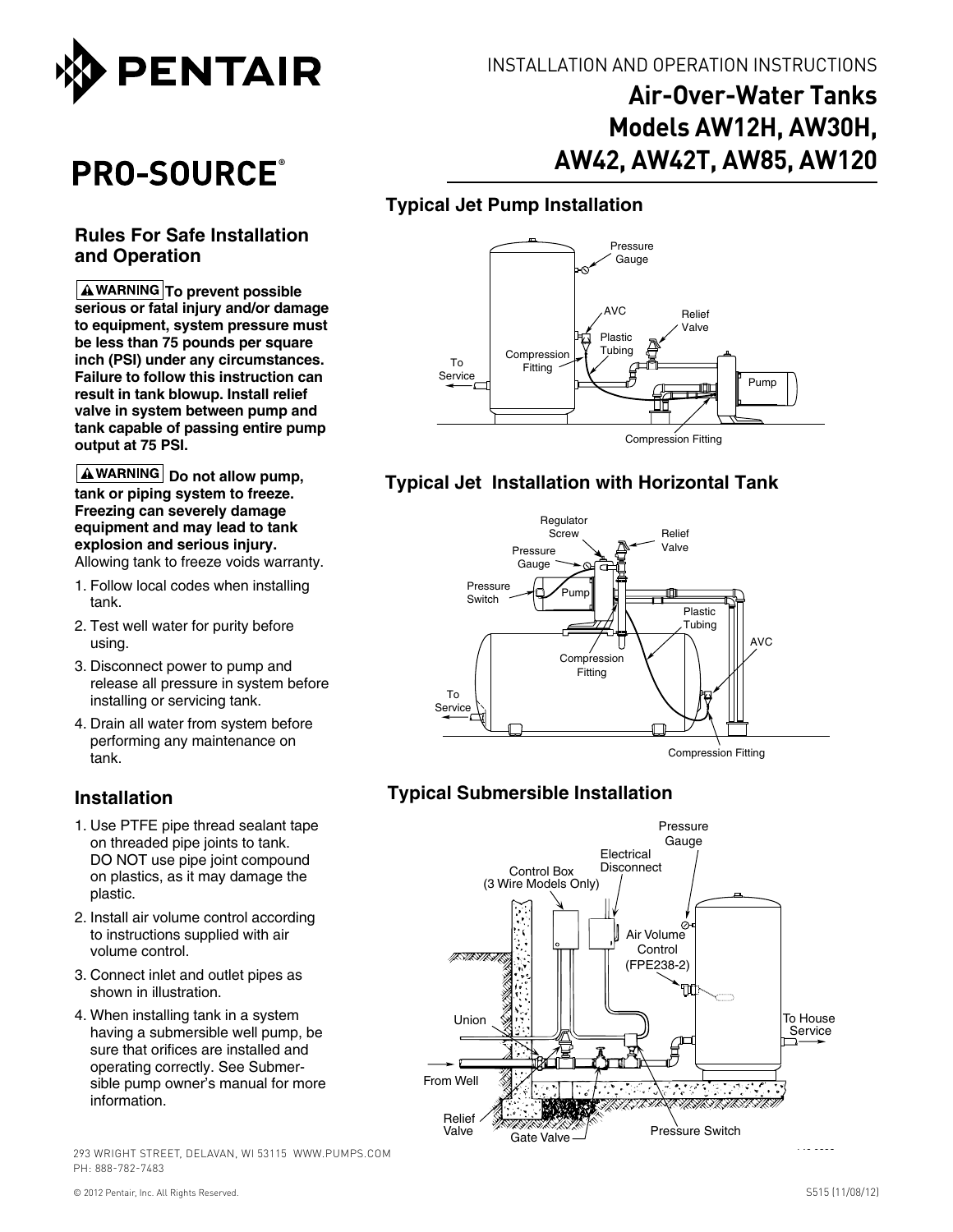

# **Air-Over-Water Tanks Models AW12H, AW30H, AW42, AW42T, AW85, AW120**

## **Typical Jet Pump Installation**



## **Typical Jet Installation with Horizontal Tank**



## **Typical Submersible Installation**



PRO-SOURCE®

#### **Rules For Safe Installation and Operation**

**A WARNING To prevent possible serious or fatal injury and/or damage to equipment, system pressure must be less than 75 pounds per square inch (PSI) under any circumstances. Failure to follow this instruction can result in tank blowup. Install relief valve in system between pump and tank capable of passing entire pump output at 75 PSI.**

**A** WARNING Do not allow pump, **tank or piping system to freeze. Freezing can severely damage equipment and may lead to tank explosion and serious injury.** Allowing tank to freeze voids warranty.

- 1. Follow local codes when installing tank.
- 2. Test well water for purity before using.
- 3. Disconnect power to pump and release all pressure in system before installing or servicing tank.
- 4. Drain all water from system before performing any maintenance on tank.

## **Installation**

- 1. Use PTFE pipe thread sealant tape on threaded pipe joints to tank. DO NOT use pipe joint compound on plastics, as it may damage the plastic.
- 2. Install air volume control according to instructions supplied with air volume control.
- 3. Connect inlet and outlet pipes as shown in illustration.
- 4. When installing tank in a system having a submersible well pump, be sure that orifices are installed and operating correctly. See Submersible pump owner's manual for more information.

293 WRIGHT STREET, DELAVAN, WI 53115 WWW.PUMPS.COM PH: 888-782-7483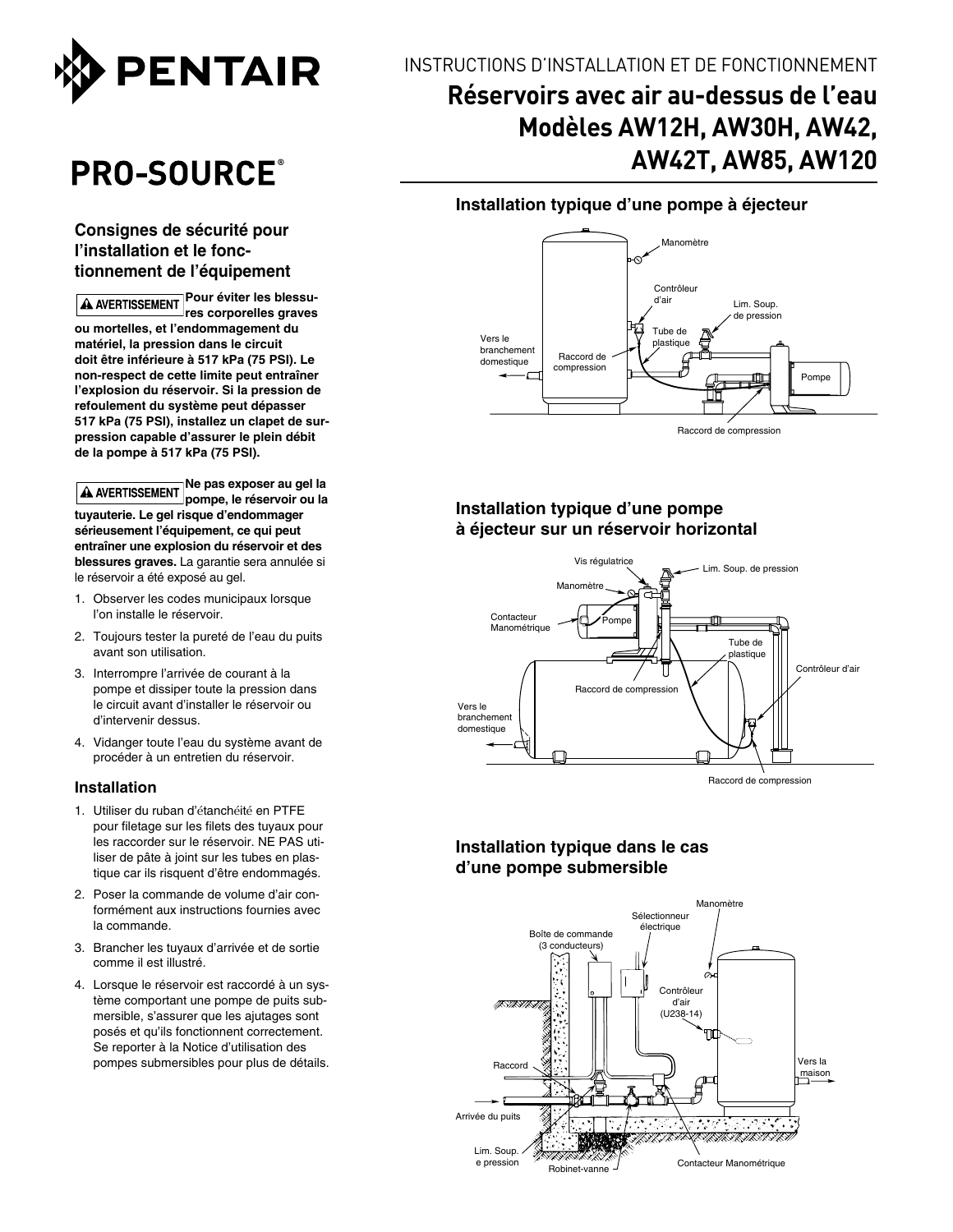

# **PRO-SOURCE**®

#### **Consignes de sécurité pour l'installation et le fonctionnement de l'équipement**

**Pour éviter les blessu-**A AVERTISSEMENT **res corporelles graves ou mortelles, et l'endommagement du matériel, la pression dans le circuit doit être inférieure à 517 kPa (75 PSI). Le non-respect de cette limite peut entraîner l'explosion du réservoir. Si la pression de refoulement du système peut dépasser 517 kPa (75 PSI), installez un clapet de surpression capable d'assurer le plein débit de la pompe à 517 kPa (75 PSI).**

**Ne pas exposer au gel la pompe, le réservoir ou la tuyauterie. Le gel risque d'endommager sérieusement l'équipement, ce qui peut entraîner une explosion du réservoir et des blessures graves.** La garantie sera annulée si le réservoir a été exposé au gel.

- 1. Observer les codes municipaux lorsque l'on installe le réservoir.
- 2. Toujours tester la pureté de l'eau du puits avant son utilisation.
- 3. Interrompre l'arrivée de courant à la pompe et dissiper toute la pression dans le circuit avant d'installer le réservoir ou d'intervenir dessus.
- 4. Vidanger toute l'eau du système avant de procéder à un entretien du réservoir.

#### **Installation**

- 1. Utiliser du ruban d'étanchéité en PTFE pour filetage sur les filets des tuyaux pour les raccorder sur le réservoir. NE PAS utiliser de pâte à joint sur les tubes en plastique car ils risquent d'être endommagés.
- 2. Poser la commande de volume d'air conformément aux instructions fournies avec la commande.
- 3. Brancher les tuyaux d'arrivée et de sortie comme il est illustré.
- 4. Lorsque le réservoir est raccordé à un système comportant une pompe de puits submersible, s'assurer que les ajutages sont posés et qu'ils fonctionnent correctement. Se reporter à la Notice d'utilisation des pompes submersibles pour plus de détails.

## INSTRUCTIONS D'INSTALLATION ET DE FONCTIONNEMENT

# **Réservoirs avec air au-dessus de l'eau Modèles AW12H, AW30H, AW42, AW42T, AW85, AW120**

**Installation typique d'une pompe à éjecteur**



**Installation typique d'une pompe à éjecteur sur un réservoir horizontal**



Raccord de compression

#### **Installation typique dans le cas d'une pompe submersible**

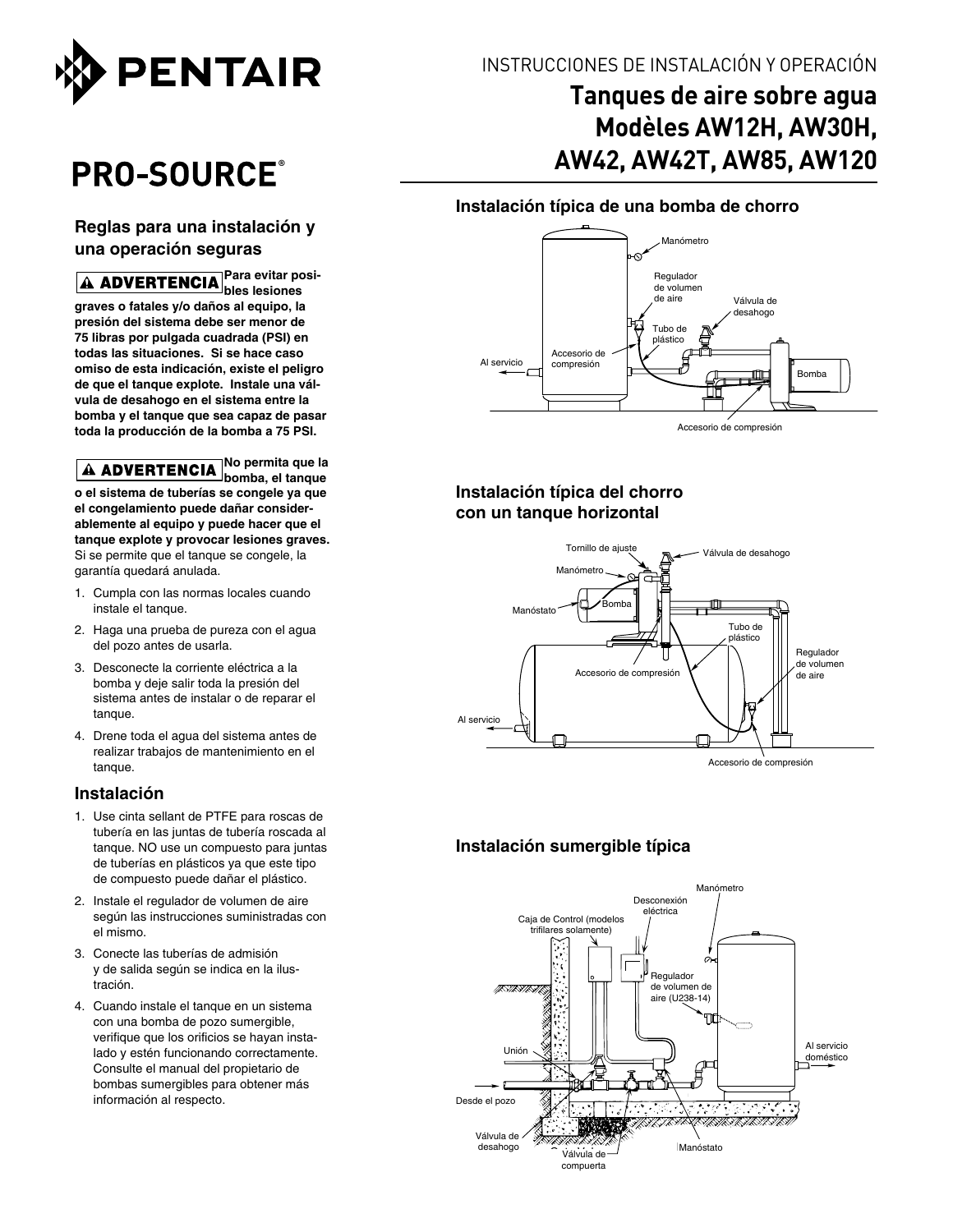

# **PRO-SOURCE**®

#### **Reglas para una instalación y una operación seguras**

**Para evitar posibles lesiones graves o fatales y/o daños al equipo, la presión del sistema debe ser menor de 75 libras por pulgada cuadrada (PSI) en todas las situaciones. Si se hace caso omiso de esta indicación, existe el peligro de que el tanque explote. Instale una válvula de desahogo en el sistema entre la bomba y el tanque que sea capaz de pasar toda la producción de la bomba a 75 PSI.**

**No permita que la**  A ADVERTENCIA No permina yuu iu **o el sistema de tuberías se congele ya que el congelamiento puede dañar considerablemente al equipo y puede hacer que el tanque explote y provocar lesiones graves.** Si se permite que el tanque se congele, la garantía quedará anulada.

- 1. Cumpla con las normas locales cuando instale el tanque.
- 2. Haga una prueba de pureza con el agua del pozo antes de usarla.
- 3. Desconecte la corriente eléctrica a la bomba y deje salir toda la presión del sistema antes de instalar o de reparar el tangue.
- 4. Drene toda el agua del sistema antes de realizar trabajos de mantenimiento en el tanque.

#### **Instalación**

- 1. Use cinta sellant de PTFE para roscas de tubería en las juntas de tubería roscada al tanque. NO use un compuesto para juntas de tuberías en plásticos ya que este tipo de compuesto puede dañar el plástico.
- 2. Instale el regulador de volumen de aire según las instrucciones suministradas con el mismo.
- 3. Conecte las tuberías de admisión y de salida según se indica en la ilustración.
- 4. Cuando instale el tanque en un sistema con una bomba de pozo sumergible, verifique que los orificios se hayan instalado y estén funcionando correctamente. Consulte el manual del propietario de bombas sumergibles para obtener más información al respecto.

## Instrucciones de instalación y operación

## **Tanques de aire sobre agua Modèles AW12H, AW30H, AW42, AW42T, AW85, AW120**

#### **Instalación típica de una bomba de chorro**



Accesorio de compresión

#### **Instalación típica del chorro con un tanque horizontal**



#### **Instalación sumergible típica**